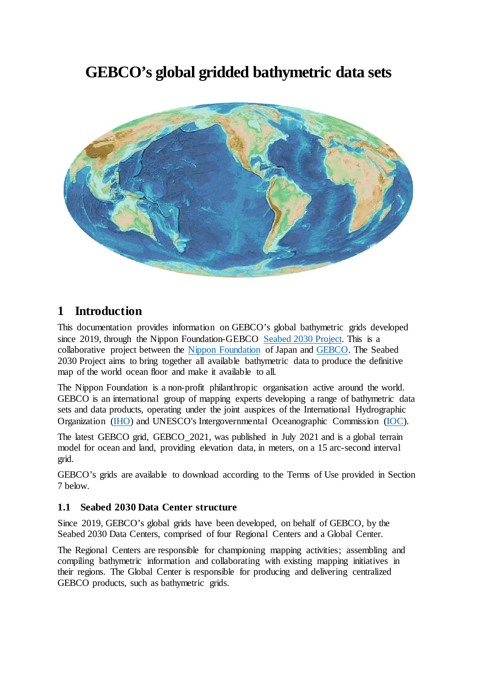# **GEBCO's global gridded bathymetric data sets**



### **1 Introduction**

This documentation provides information on GEBCO's global bathymetric grids developed since 2019, through the Nippon Foundation-GEBCO [Seabed 2030 Project.](https://seabed2030.org/) This is a collaborative project between the [Nippon Foundation](https://www.nippon-foundation.or.jp/en/) of Japan and [GEBCO.](https://www.gebco.net/) The Seabed 2030 Project aims to bring together all available bathymetric data to produce the definitive map of the world ocean floor and make it available to all.

The Nippon Foundation is a non-profit philanthropic organisation active around the world. GEBCO is an international group of mapping experts developing a range of bathymetric data sets and data products, operating under the joint auspices of the International Hydrographic Organization [\(IHO\)](https://iho.int/) and UNESCO's Intergovernmental Oceanographic Commission [\(IOC\)](http://www.unesco.org/new/en/natural-sciences/ioc-oceans/).

The latest GEBCO grid, GEBCO\_2021, was published in July 2021 and is a global terrain model for ocean and land, providing elevation data, in meters, on a 15 arc-second interval grid.

GEBCO's grids are available to download according to the Terms of Use provided in Section 7 below.

#### **1.1 Seabed 2030 Data Center structure**

Since 2019, GEBCO's global grids have been developed, on behalf of GEBCO, by the Seabed 2030 Data Centers, comprised of four Regional Centers and a Global Center.

The Regional Centers are responsible for championing mapping activities; assembling and compiling bathymetric information and collaborating with existing mapping initiatives in their regions. The Global Center is responsible for producing and delivering centralized GEBCO products, such as bathymetric grids.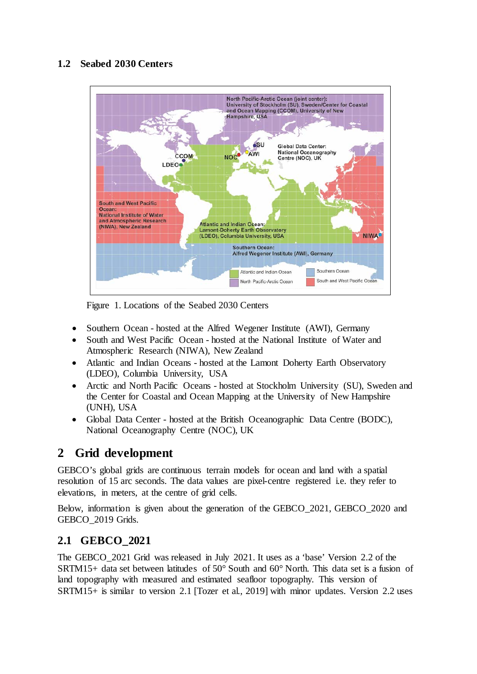#### **1.2 Seabed 2030 Centers**



Figure 1. Locations of the Seabed 2030 Centers

- Southern Ocean hosted at the Alfred Wegener Institute (AWI), Germany
- South and West Pacific Ocean hosted at the National Institute of Water and Atmospheric Research (NIWA), New Zealand
- Atlantic and Indian Oceans hosted at the Lamont Doherty Earth Observatory (LDEO), Columbia University, USA
- Arctic and North Pacific Oceans hosted at Stockholm University (SU), Sweden and the Center for Coastal and Ocean Mapping at the University of New Hampshire (UNH), USA
- Global Data Center hosted at the British Oceanographic Data Centre (BODC), National Oceanography Centre (NOC), UK

# **2 Grid development**

GEBCO's global grids are continuous terrain models for ocean and land with a spatial resolution of 15 arc seconds. The data values are pixel-centre registered i.e. they refer to elevations, in meters, at the centre of grid cells.

Below, information is given about the generation of the GEBCO\_2021, GEBCO\_2020 and GEBCO\_2019 Grids.

### **2.1 GEBCO\_2021**

The GEBCO\_2021 Grid was released in July 2021. It uses as a 'base' Version 2.2 of the SRTM15+ data set between latitudes of 50° South and 60° North. This data set is a fusion of land topography with measured and estimated seafloor topography. This version of SRTM15+ is similar to version 2.1 [Tozer et al., 2019] with minor updates. Version 2.2 uses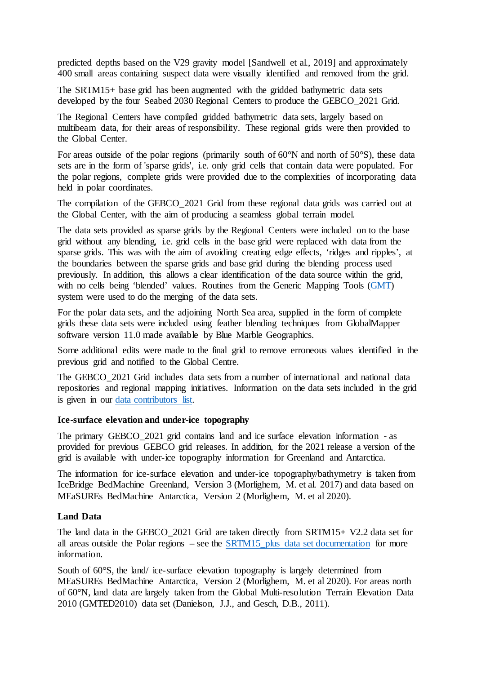predicted depths based on the V29 gravity model [Sandwell et al., 2019] and approximately 400 small areas containing suspect data were visually identified and removed from the grid.

The SRTM15+ base grid has been augmented with the gridded bathymetric data sets developed by the four Seabed 2030 Regional Centers to produce the GEBCO\_2021 Grid.

The Regional Centers have compiled gridded bathymetric data sets, largely based on multibeam data, for their areas of responsibility. These regional grids were then provided to the Global Center.

For areas outside of the polar regions (primarily south of 60°N and north of 50°S), these data sets are in the form of 'sparse grids', i.e. only grid cells that contain data were populated. For the polar regions, complete grids were provided due to the complexities of incorporating data held in polar coordinates.

The compilation of the GEBCO\_2021 Grid from these regional data grids was carried out at the Global Center, with the aim of producing a seamless global terrain model.

The data sets provided as sparse grids by the Regional Centers were included on to the base grid without any blending, i.e. grid cells in the base grid were replaced with data from the sparse grids. This was with the aim of avoiding creating edge effects, 'ridges and ripples', at the boundaries between the sparse grids and base grid during the blending process used previously. In addition, this allows a clear identification of the data source within the grid, with no cells being 'blended' values. Routines from the Generic Mapping Tools [\(GMT\)](https://www.generic-mapping-tools.org/) system were used to do the merging of the data sets.

For the polar data sets, and the adjoining North Sea area, supplied in the form of complete grids these data sets were included using feather blending techniques from GlobalMapper software version 11.0 made available by Blue Marble Geographics.

Some additional edits were made to the final grid to remove erroneous values identified in the previous grid and notified to the Global Centre.

The GEBCO\_2021 Grid includes data sets from a number of international and national data repositories and regional mapping initiatives. Information on the data sets included in the grid is given in our [data contributors](https://www.gebco.net/about_us/acknowledgements/our_data_contributors/) list.

#### **Ice-surface elevation and under-ice topography**

The primary GEBCO\_2021 grid contains land and ice surface elevation information - as provided for previous GEBCO grid releases. In addition, for the 2021 release a version of the grid is available with under-ice topography information for Greenland and Antarctica.

The information for ice-surface elevation and under-ice topography/bathymetry is taken from IceBridge BedMachine Greenland, Version 3 (Morlighem, M. et al. 2017) and data based on MEaSUREs BedMachine Antarctica, Version 2 (Morlighem, M. et al 2020).

#### **Land Data**

The land data in the GEBCO\_2021 Grid are taken directly from SRTM15+ V2.2 data set for all areas outside the Polar regions – see the [SRTM15\\_plus data set documentation](https://agupubs.onlinelibrary.wiley.com/doi/full/10.1029/2019EA000658) for more information.

South of 60°S, the land/ ice-surface elevation topography is largely determined from MEaSUREs BedMachine Antarctica, Version 2 (Morlighem, M. et al 2020). For areas north of 60°N, land data are largely taken from the Global Multi-resolution Terrain Elevation Data 2010 (GMTED2010) data set (Danielson, J.J., and Gesch, D.B., 2011).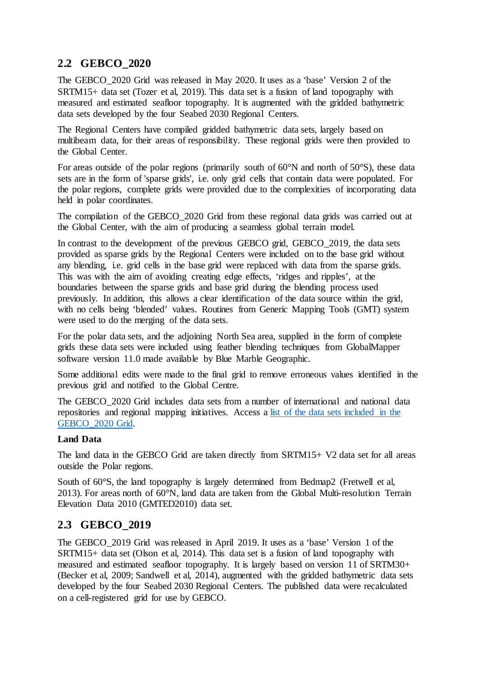#### **2.2 GEBCO\_2020**

The GEBCO\_2020 Grid was released in May 2020. It uses as a 'base' Version 2 of the SRTM15+ data set (Tozer et al, 2019). This data set is a fusion of land topography with measured and estimated seafloor topography. It is augmented with the gridded bathymetric data sets developed by the four Seabed 2030 Regional Centers.

The Regional Centers have compiled gridded bathymetric data sets, largely based on multibeam data, for their areas of responsibility. These regional grids were then provided to the Global Center.

For areas outside of the polar regions (primarily south of 60°N and north of 50°S), these data sets are in the form of 'sparse grids', i.e. only grid cells that contain data were populated. For the polar regions, complete grids were provided due to the complexities of incorporating data held in polar coordinates.

The compilation of the GEBCO\_2020 Grid from these regional data grids was carried out at the Global Center, with the aim of producing a seamless global terrain model.

In contrast to the development of the previous GEBCO grid, GEBCO\_2019, the data sets provided as sparse grids by the Regional Centers were included on to the base grid without any blending, i.e. grid cells in the base grid were replaced with data from the sparse grids. This was with the aim of avoiding creating edge effects, 'ridges and ripples', at the boundaries between the sparse grids and base grid during the blending process used previously. In addition, this allows a clear identification of the data source within the grid, with no cells being 'blended' values. Routines from Generic Mapping Tools (GMT) system were used to do the merging of the data sets.

For the polar data sets, and the adjoining North Sea area, supplied in the form of complete grids these data sets were included using feather blending techniques from GlobalMapper software version 11.0 made available by Blue Marble Geographic.

Some additional edits were made to the final grid to remove erroneous values identified in the previous grid and notified to the Global Centre.

The GEBCO\_2020 Grid includes data sets from a number of international and national data repositories and regional mapping initiatives. Access a list of the [data sets included in the](https://www.gebco.net/data_and_products/gridded_bathymetry_data/gebco_2020/) [GEBCO\\_2020 Grid.](https://www.gebco.net/data_and_products/gridded_bathymetry_data/gebco_2020/)

#### **Land Data**

The land data in the GEBCO Grid are taken directly from SRTM15+ V2 data set for all areas outside the Polar regions.

South of 60°S, the land topography is largely determined from Bedmap2 (Fretwell et al, 2013). For areas north of 60°N, land data are taken from the Global Multi-resolution Terrain Elevation Data 2010 (GMTED2010) data set.

#### **2.3 GEBCO\_2019**

The GEBCO\_2019 Grid was released in April 2019. It uses as a 'base' Version 1 of the SRTM15+ data set (Olson et al, 2014). This data set is a fusion of land topography with measured and estimated seafloor topography. It is largely based on version 11 of SRTM30+ (Becker et al, 2009; Sandwell et al, 2014), augmented with the gridded bathymetric data sets developed by the four Seabed 2030 Regional Centers. The published data were recalculated on a cell-registered grid for use by GEBCO.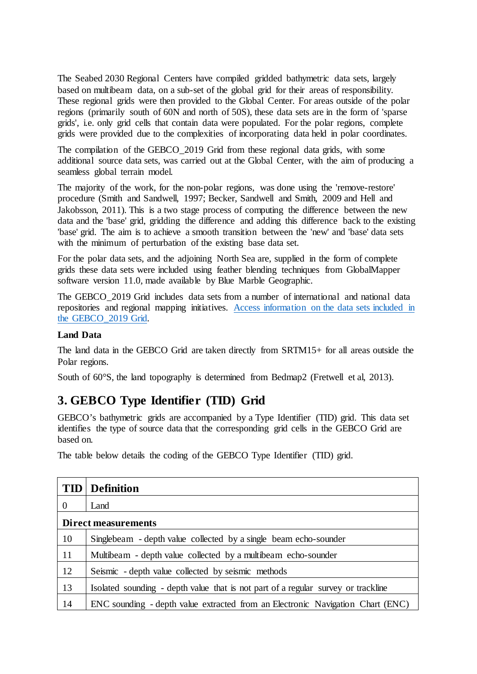The Seabed 2030 Regional Centers have compiled gridded bathymetric data sets, largely based on multibeam data, on a sub-set of the global grid for their areas of responsibility. These regional grids were then provided to the Global Center. For areas outside of the polar regions (primarily south of 60N and north of 50S), these data sets are in the form of 'sparse grids', i.e. only grid cells that contain data were populated. For the polar regions, complete grids were provided due to the complexities of incorporating data held in polar coordinates.

The compilation of the GEBCO\_2019 Grid from these regional data grids, with some additional source data sets, was carried out at the Global Center, with the aim of producing a seamless global terrain model.

The majority of the work, for the non-polar regions, was done using the 'remove-restore' procedure (Smith and Sandwell, 1997; Becker, Sandwell and Smith, 2009 and Hell and Jakobsson, 2011). This is a two stage process of computing the difference between the new data and the 'base' grid, gridding the difference and adding this difference back to the existing 'base' grid. The aim is to achieve a smooth transition between the 'new' and 'base' data sets with the minimum of perturbation of the existing base data set.

For the polar data sets, and the adjoining North Sea are, supplied in the form of complete grids these data sets were included using feather blending techniques from GlobalMapper software version 11.0, made available by Blue Marble Geographic.

The GEBCO\_2019 Grid includes data sets from a number of international and national data repositories and regional mapping initiatives. [Access information on the data sets included in](https://www.gebco.net/data_and_products/gridded_bathymetry_data/gebco_2019/gebco_2019_info.html)  [the GEBCO\\_2019 Grid.](https://www.gebco.net/data_and_products/gridded_bathymetry_data/gebco_2019/gebco_2019_info.html)

#### **Land Data**

The land data in the GEBCO Grid are taken directly from SRTM15+ for all areas outside the Polar regions.

South of 60°S, the land topography is determined from Bedmap2 (Fretwell et al, 2013).

# **3. GEBCO Type Identifier (TID) Grid**

GEBCO's bathymetric grids are accompanied by a Type Identifier (TID) grid. This data set identifies the type of source data that the corresponding grid cells in the GEBCO Grid are based on.

The table below details the coding of the GEBCO Type Identifier (TID) grid.

|                            | <b>TID</b> Definition                                                             |
|----------------------------|-----------------------------------------------------------------------------------|
| $\Omega$                   | Land                                                                              |
| <b>Direct measurements</b> |                                                                                   |
| 10                         | Singlebeam - depth value collected by a single beam echo-sounder                  |
| 11                         | Multibeam - depth value collected by a multibeam echo-sounder                     |
| 12                         | Seismic - depth value collected by seismic methods                                |
| 13                         | Isolated sounding - depth value that is not part of a regular survey or trackline |
| 14                         | ENC sounding - depth value extracted from an Electronic Navigation Chart (ENC)    |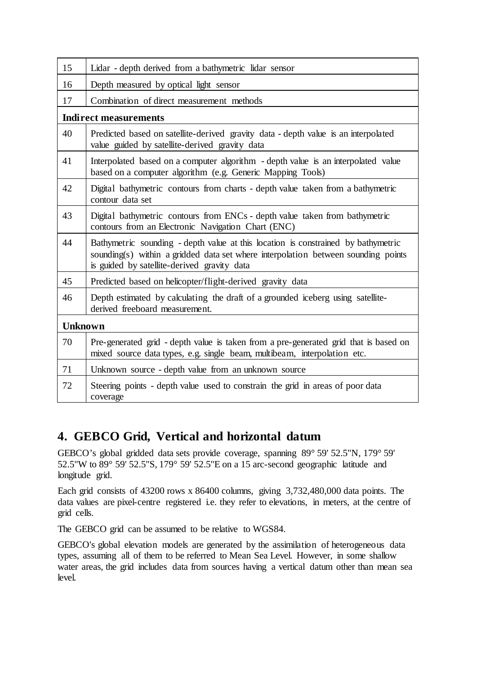| 15                           | Lidar - depth derived from a bathymetric lidar sensor                                                                                                                                                                 |  |
|------------------------------|-----------------------------------------------------------------------------------------------------------------------------------------------------------------------------------------------------------------------|--|
| 16                           | Depth measured by optical light sensor                                                                                                                                                                                |  |
| 17                           | Combination of direct measurement methods                                                                                                                                                                             |  |
| <b>Indirect measurements</b> |                                                                                                                                                                                                                       |  |
| 40                           | Predicted based on satellite-derived gravity data - depth value is an interpolated<br>value guided by satellite-derived gravity data                                                                                  |  |
| 41                           | Interpolated based on a computer algorithm - depth value is an interpolated value<br>based on a computer algorithm (e.g. Generic Mapping Tools)                                                                       |  |
| 42                           | Digital bathymetric contours from charts - depth value taken from a bathymetric<br>contour data set                                                                                                                   |  |
| 43                           | Digital bathymetric contours from ENCs - depth value taken from bathymetric<br>contours from an Electronic Navigation Chart (ENC)                                                                                     |  |
| 44                           | Bathymetric sounding - depth value at this location is constrained by bathymetric<br>sounding(s) within a gridded data set where interpolation between sounding points<br>is guided by satellite-derived gravity data |  |
| 45                           | Predicted based on helicopter/flight-derived gravity data                                                                                                                                                             |  |
| 46                           | Depth estimated by calculating the draft of a grounded iceberg using satellite-<br>derived freeboard measurement.                                                                                                     |  |
| <b>Unknown</b>               |                                                                                                                                                                                                                       |  |
| 70                           | Pre-generated grid - depth value is taken from a pre-generated grid that is based on<br>mixed source data types, e.g. single beam, multibeam, interpolation etc.                                                      |  |
| 71                           | Unknown source - depth value from an unknown source                                                                                                                                                                   |  |
| 72                           | Steering points - depth value used to constrain the grid in areas of poor data<br>coverage                                                                                                                            |  |

### **4. GEBCO Grid, Vertical and horizontal datum**

GEBCO's global gridded data sets provide coverage, spanning 89° 59' 52.5''N, 179° 59' 52.5''W to 89° 59' 52.5''S, 179° 59' 52.5''E on a 15 arc-second geographic latitude and longitude grid.

Each grid consists of 43200 rows x 86400 columns, giving 3,732,480,000 data points. The data values are pixel-centre registered i.e. they refer to elevations, in meters, at the centre of grid cells.

The GEBCO grid can be assumed to be relative to WGS84.

GEBCO's global elevation models are generated by the assimilation of heterogeneous data types, assuming all of them to be referred to Mean Sea Level. However, in some shallow water areas, the grid includes data from sources having a vertical datum other than mean sea level.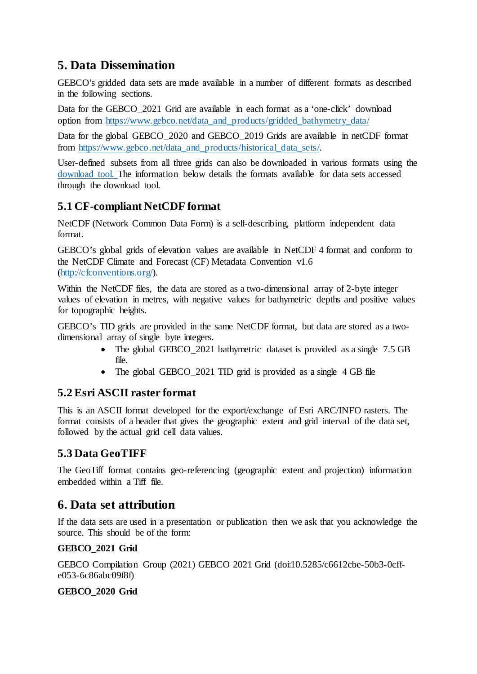### **5. Data Dissemination**

GEBCO's gridded data sets are made available in a number of different formats as described in the following sections.

Data for the GEBCO 2021 Grid are available in each format as a 'one-click' download option from [https://www.gebco.net/data\\_and\\_products/gridded\\_bathymetry\\_data/](https://www.gebco.net/data_and_products/gridded_bathymetry_data/)

Data for the global GEBCO 2020 and GEBCO 2019 Grids are available in netCDF format from [https://www.gebco.net/data\\_and\\_products/historical\\_data\\_sets/.](https://www.gebco.net/data_and_products/historical_data_sets/) 

User-defined subsets from all three grids can also be downloaded in various formats using the [download tool.](https://download.gebco.net/) The information below details the formats available for data sets accessed through the download tool.

#### **5.1 CF-compliant NetCDF format**

NetCDF (Network Common Data Form) is a self-describing, platform independent data format.

GEBCO's global grids of elevation values are available in NetCDF 4 format and conform to the NetCDF Climate and Forecast (CF) Metadata Convention v1.6 [\(http://cfconventions.org/\).](http://cfconventions.org/)

Within the NetCDF files, the data are stored as a two-dimensional array of 2-byte integer values of elevation in metres, with negative values for bathymetric depths and positive values for topographic heights.

GEBCO's TID grids are provided in the same NetCDF format, but data are stored as a twodimensional array of single byte integers.

- The global GEBCO 2021 bathymetric dataset is provided as a single 7.5 GB file.
- The global GEBCO\_2021 TID grid is provided as a single 4 GB file

#### **5.2 Esri ASCII raster format**

This is an ASCII format developed for the export/exchange of Esri ARC/INFO rasters. The format consists of a header that gives the geographic extent and grid interval of the data set, followed by the actual grid cell data values.

#### **5.3 Data GeoTIFF**

The GeoTiff format contains geo-referencing (geographic extent and projection) information embedded within a Tiff file.

### **6. Data set attribution**

If the data sets are used in a presentation or publication then we ask that you acknowledge the source. This should be of the form:

#### **GEBCO\_2021 Grid**

GEBCO Compilation Group (2021) GEBCO 2021 Grid (doi:10.5285/c6612cbe-50b3-0cffe053-6c86abc09f8f)

#### **GEBCO\_2020 Grid**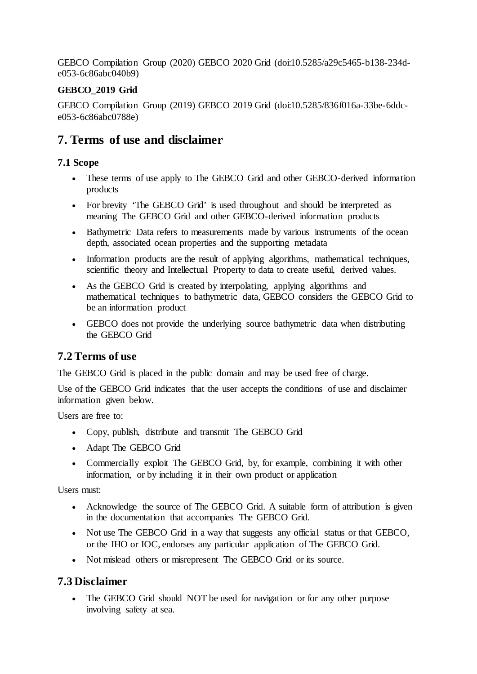GEBCO Compilation Group (2020) GEBCO 2020 Grid (doi:10.5285/a29c5465-b138-234de053-6c86abc040b9)

#### **GEBCO\_2019 Grid**

GEBCO Compilation Group (2019) GEBCO 2019 Grid (doi:10.5285/836f016a-33be-6ddce053-6c86abc0788e)

### **7. Terms of use and disclaimer**

#### **7.1 Scope**

- These terms of use apply to The GEBCO Grid and other GEBCO-derived information products
- For brevity 'The GEBCO Grid' is used throughout and should be interpreted as meaning The GEBCO Grid and other GEBCO-derived information products
- Bathymetric Data refers to measurements made by various instruments of the ocean depth, associated ocean properties and the supporting metadata
- Information products are the result of applying algorithms, mathematical techniques, scientific theory and Intellectual Property to data to create useful, derived values.
- As the GEBCO Grid is created by interpolating, applying algorithms and mathematical techniques to bathymetric data, GEBCO considers the GEBCO Grid to be an information product
- GEBCO does not provide the underlying source bathymetric data when distributing the GEBCO Grid

#### **7.2 Terms of use**

The GEBCO Grid is placed in the public domain and may be used free of charge.

Use of the GEBCO Grid indicates that the user accepts the conditions of use and disclaimer information given below.

Users are free to:

- Copy, publish, distribute and transmit The GEBCO Grid
- Adapt The GEBCO Grid
- Commercially exploit The GEBCO Grid, by, for example, combining it with other information, or by including it in their own product or application

Users must:

- Acknowledge the source of The GEBCO Grid. A suitable form of attribution is given in the documentation that accompanies The GEBCO Grid.
- Not use The GEBCO Grid in a way that suggests any official status or that GEBCO, or the IHO or IOC, endorses any particular application of The GEBCO Grid.
- Not mislead others or misrepresent The GEBCO Grid or its source.

#### **7.3 Disclaimer**

• The GEBCO Grid should NOT be used for navigation or for any other purpose involving safety at sea.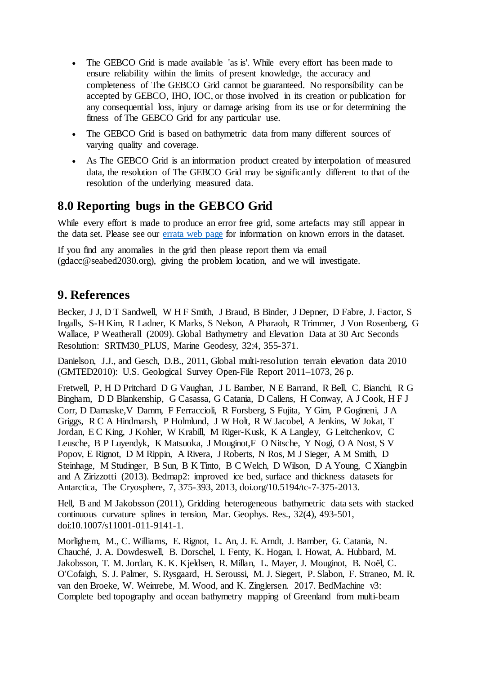- The GEBCO Grid is made available 'as is'. While every effort has been made to ensure reliability within the limits of present knowledge, the accuracy and completeness of The GEBCO Grid cannot be guaranteed. No responsibility can be accepted by GEBCO, IHO, IOC, or those involved in its creation or publication for any consequential loss, injury or damage arising from its use or for determining the fitness of The GEBCO Grid for any particular use.
- The GEBCO Grid is based on bathymetric data from many different sources of varying quality and coverage.
- As The GEBCO Grid is an information product created by interpolation of measured data, the resolution of The GEBCO Grid may be significantly different to that of the resolution of the underlying measured data.

### **8.0 Reporting bugs in the GEBCO Grid**

While every effort is made to produce an error free grid, some artefacts may still appear in the data set. Please see our [errata web page](https://www.gebco.net/data_and_products/gridded_bathymetry_data/data_set_errata/) for information on known errors in the dataset.

If you find any anomalies in the grid then please report them via email (gdacc@seabed2030.org), giving the problem location, and we will investigate.

#### **9. References**

Becker, J J, D T Sandwell, W H F Smith, J Braud, B Binder, J Depner, D Fabre, J. Factor, S Ingalls, S-H Kim, R Ladner, K Marks, S Nelson, A Pharaoh, R Trimmer, J Von Rosenberg, G Wallace, P Weatherall (2009). Global Bathymetry and Elevation Data at 30 Arc Seconds Resolution: SRTM30\_PLUS, Marine Geodesy, 32:4, 355-371.

Danielson, J.J., and Gesch, D.B., 2011, Global multi-resolution terrain elevation data 2010 (GMTED2010): U.S. Geological Survey Open-File Report 2011–1073, 26 p.

Fretwell, P, H D Pritchard D G Vaughan, J L Bamber, N E Barrand, R Bell, C. Bianchi, R G Bingham, D D Blankenship, G Casassa, G Catania, D Callens, H Conway, A J Cook, H F J Corr, D Damaske,V Damm, F Ferraccioli, R Forsberg, S Fujita, Y Gim, P Gogineni, J A Griggs, R C A Hindmarsh, P Holmlund, J W Holt, R W Jacobel, A Jenkins, W Jokat, T Jordan, E C King, J Kohler, W Krabill, M Riger-Kusk, K A Langley, G Leitchenkov, C Leusche, B P Luyendyk, K Matsuoka, J Mouginot,F O Nitsche, Y Nogi, O A Nost, S V Popov, E Rignot, D M Rippin, A Rivera, J Roberts, N Ros, M J Sieger, A M Smith, D Steinhage, M Studinger, B Sun, B K Tinto, B C Welch, D Wilson, D A Young, C Xiangbin and A Zirizzotti (2013). Bedmap2: improved ice bed, surface and thickness datasets for Antarctica, The Cryosphere, 7, 375-393, 2013, doi.org/10.5194/tc-7-375-2013.

Hell, B and M Jakobsson (2011), Gridding heterogeneous bathymetric data sets with stacked continuous curvature splines in tension, Mar. Geophys. Res., 32(4), 493-501, doi:10.1007/s11001-011-9141-1.

Morlighem, M., C. Williams, E. Rignot, L. An, J. E. Arndt, J. Bamber, G. Catania, N. Chauché, J. A. Dowdeswell, B. Dorschel, I. Fenty, K. Hogan, I. Howat, A. Hubbard, M. Jakobsson, T. M. Jordan, K. K. Kjeldsen, R. Millan, L. Mayer, J. Mouginot, B. Noël, C. O'Cofaigh, S. J. Palmer, S. Rysgaard, H. Seroussi, M. J. Siegert, P. Slabon, F. Straneo, M. R. van den Broeke, W. Weinrebe, M. Wood, and K. Zinglersen. 2017. BedMachine v3: Complete bed topography and ocean bathymetry mapping of Greenland from multi-beam